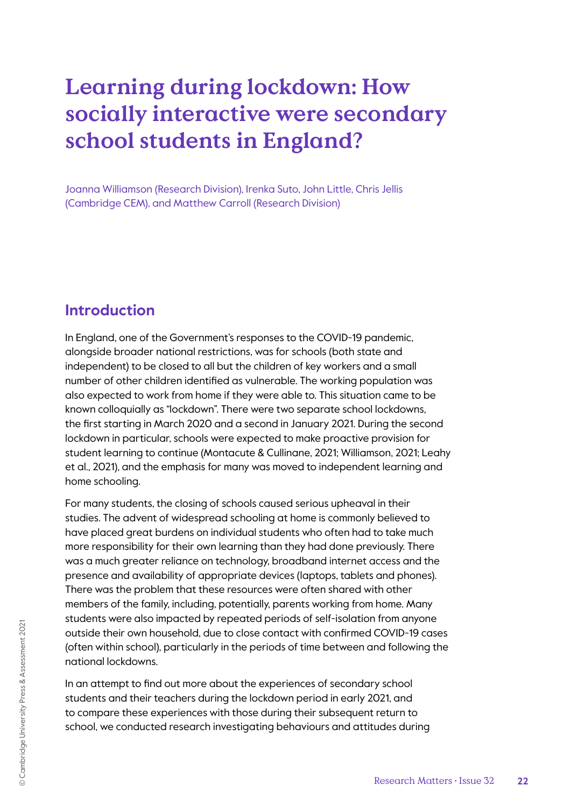# **Learning during lockdown: How socially interactive were secondary school students in England?**

Joanna Williamson (Research Division), Irenka Suto, John Little, Chris Jellis (Cambridge CEM), and Matthew Carroll (Research Division)

### **Introduction**

In England, one of the Government's responses to the COVID-19 pandemic, alongside broader national restrictions, was for schools (both state and independent) to be closed to all but the children of key workers and a small number of other children identified as vulnerable. The working population was also expected to work from home if they were able to. This situation came to be known colloquially as "lockdown". There were two separate school lockdowns, the first starting in March 2020 and a second in January 2021. During the second lockdown in particular, schools were expected to make proactive provision for student learning to continue (Montacute & Cullinane, 2021; Williamson, 2021; Leahy et al., 2021), and the emphasis for many was moved to independent learning and home schooling.

For many students, the closing of schools caused serious upheaval in their studies. The advent of widespread schooling at home is commonly believed to have placed great burdens on individual students who often had to take much more responsibility for their own learning than they had done previously. There was a much greater reliance on technology, broadband internet access and the presence and availability of appropriate devices (laptops, tablets and phones). There was the problem that these resources were often shared with other members of the family, including, potentially, parents working from home. Many students were also impacted by repeated periods of self-isolation from anyone outside their own household, due to close contact with confirmed COVID-19 cases (often within school), particularly in the periods of time between and following the national lockdowns.

In an attempt to find out more about the experiences of secondary school students and their teachers during the lockdown period in early 2021, and to compare these experiences with those during their subsequent return to school, we conducted research investigating behaviours and attitudes during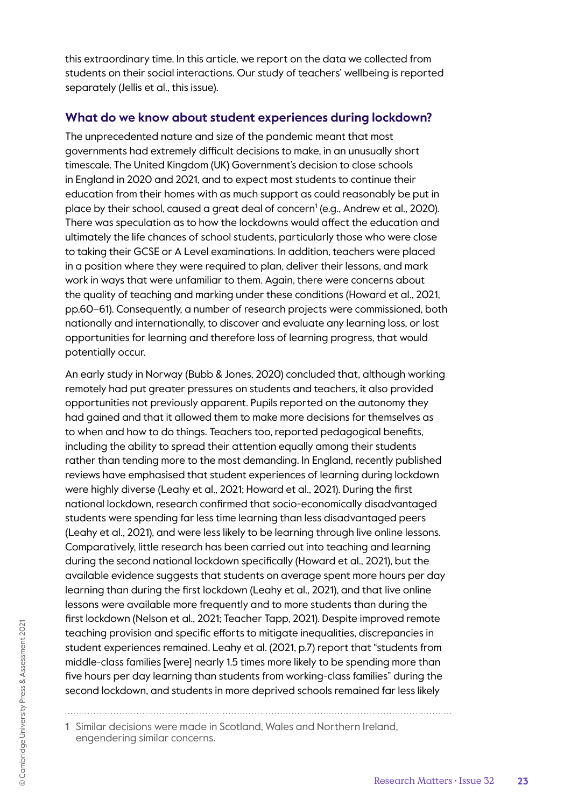this extraordinary time. In this article, we report on the data we collected from students on their social interactions. Our study of teachers' wellbeing is reported separately (Jellis et al., this issue).

#### **What do we know about student experiences during lockdown?**

The unprecedented nature and size of the pandemic meant that most governments had extremely difficult decisions to make, in an unusually short timescale. The United Kingdom (UK) Government's decision to close schools in England in 2020 and 2021, and to expect most students to continue their education from their homes with as much support as could reasonably be put in place by their school, caused a great deal of concern<sup>1</sup> (e.g., Andrew et al., 2020). There was speculation as to how the lockdowns would affect the education and ultimately the life chances of school students, particularly those who were close to taking their GCSE or A Level examinations. In addition, teachers were placed in a position where they were required to plan, deliver their lessons, and mark work in ways that were unfamiliar to them. Again, there were concerns about the quality of teaching and marking under these conditions (Howard et al., 2021, pp.60–61). Consequently, a number of research projects were commissioned, both nationally and internationally, to discover and evaluate any learning loss, or lost opportunities for learning and therefore loss of learning progress, that would potentially occur.

An early study in Norway (Bubb & Jones, 2020) concluded that, although working remotely had put greater pressures on students and teachers, it also provided opportunities not previously apparent. Pupils reported on the autonomy they had gained and that it allowed them to make more decisions for themselves as to when and how to do things. Teachers too, reported pedagogical benefits, including the ability to spread their attention equally among their students rather than tending more to the most demanding. In England, recently published reviews have emphasised that student experiences of learning during lockdown were highly diverse (Leahy et al., 2021; Howard et al., 2021). During the first national lockdown, research confirmed that socio-economically disadvantaged students were spending far less time learning than less disadvantaged peers (Leahy et al., 2021), and were less likely to be learning through live online lessons. Comparatively, little research has been carried out into teaching and learning during the second national lockdown specifically (Howard et al., 2021), but the available evidence suggests that students on average spent more hours per day learning than during the first lockdown (Leahy et al., 2021), and that live online lessons were available more frequently and to more students than during the first lockdown (Nelson et al., 2021; Teacher Tapp, 2021). Despite improved remote teaching provision and specific efforts to mitigate inequalities, discrepancies in student experiences remained. Leahy et al. (2021, p.7) report that "students from middle-class families [were] nearly 1.5 times more likely to be spending more than five hours per day learning than students from working-class families" during the second lockdown, and students in more deprived schools remained far less likely

1 Similar decisions were made in Scotland, Wales and Northern Ireland, engendering similar concerns.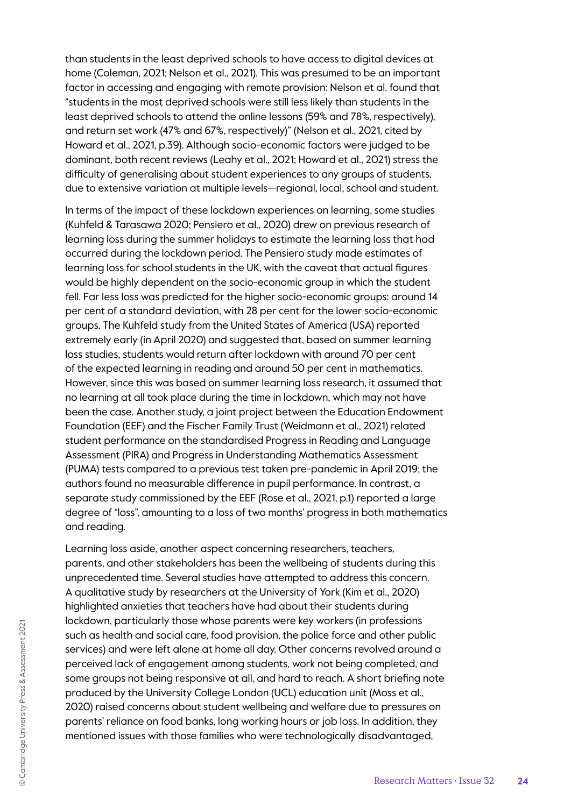than students in the least deprived schools to have access to digital devices at home (Coleman, 2021; Nelson et al., 2021). This was presumed to be an important factor in accessing and engaging with remote provision: Nelson et al. found that "students in the most deprived schools were still less likely than students in the least deprived schools to attend the online lessons (59% and 78%, respectively), and return set work (47% and 67%, respectively)" (Nelson et al., 2021, cited by Howard et al., 2021, p.39). Although socio-economic factors were judged to be dominant, both recent reviews (Leahy et al., 2021; Howard et al., 2021) stress the difficulty of generalising about student experiences to any groups of students, due to extensive variation at multiple levels—regional, local, school and student.

In terms of the impact of these lockdown experiences on learning, some studies (Kuhfeld & Tarasawa 2020; Pensiero et al., 2020) drew on previous research of learning loss during the summer holidays to estimate the learning loss that had occurred during the lockdown period. The Pensiero study made estimates of learning loss for school students in the UK, with the caveat that actual figures would be highly dependent on the socio-economic group in which the student fell. Far less loss was predicted for the higher socio-economic groups: around 14 per cent of a standard deviation, with 28 per cent for the lower socio-economic groups. The Kuhfeld study from the United States of America (USA) reported extremely early (in April 2020) and suggested that, based on summer learning loss studies, students would return after lockdown with around 70 per cent of the expected learning in reading and around 50 per cent in mathematics. However, since this was based on summer learning loss research, it assumed that no learning at all took place during the time in lockdown, which may not have been the case. Another study, a joint project between the Education Endowment Foundation (EEF) and the Fischer Family Trust (Weidmann et al., 2021) related student performance on the standardised Progress in Reading and Language Assessment (PIRA) and Progress in Understanding Mathematics Assessment (PUMA) tests compared to a previous test taken pre-pandemic in April 2019; the authors found no measurable difference in pupil performance. In contrast, a separate study commissioned by the EEF (Rose et al., 2021, p.1) reported a large degree of "loss", amounting to a loss of two months' progress in both mathematics and reading.

Learning loss aside, another aspect concerning researchers, teachers, parents, and other stakeholders has been the wellbeing of students during this unprecedented time. Several studies have attempted to address this concern. A qualitative study by researchers at the University of York (Kim et al., 2020) highlighted anxieties that teachers have had about their students during lockdown, particularly those whose parents were key workers (in professions such as health and social care, food provision, the police force and other public services) and were left alone at home all day. Other concerns revolved around a perceived lack of engagement among students, work not being completed, and some groups not being responsive at all, and hard to reach. A short briefing note produced by the University College London (UCL) education unit (Moss et al., 2020) raised concerns about student wellbeing and welfare due to pressures on parents' reliance on food banks, long working hours or job loss. In addition, they mentioned issues with those families who were technologically disadvantaged,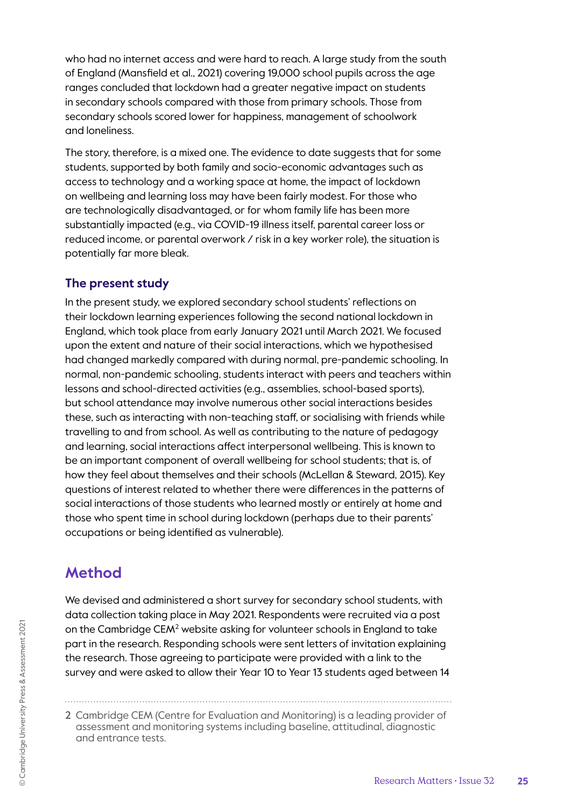who had no internet access and were hard to reach. A large study from the south of England (Mansfield et al., 2021) covering 19,000 school pupils across the age ranges concluded that lockdown had a greater negative impact on students in secondary schools compared with those from primary schools. Those from secondary schools scored lower for happiness, management of schoolwork and loneliness.

The story, therefore, is a mixed one. The evidence to date suggests that for some students, supported by both family and socio-economic advantages such as access to technology and a working space at home, the impact of lockdown on wellbeing and learning loss may have been fairly modest. For those who are technologically disadvantaged, or for whom family life has been more substantially impacted (e.g., via COVID-19 illness itself, parental career loss or reduced income, or parental overwork / risk in a key worker role), the situation is potentially far more bleak.

#### **The present study**

In the present study, we explored secondary school students' reflections on their lockdown learning experiences following the second national lockdown in England, which took place from early January 2021 until March 2021. We focused upon the extent and nature of their social interactions, which we hypothesised had changed markedly compared with during normal, pre-pandemic schooling. In normal, non-pandemic schooling, students interact with peers and teachers within lessons and school-directed activities (e.g., assemblies, school-based sports), but school attendance may involve numerous other social interactions besides these, such as interacting with non-teaching staff, or socialising with friends while travelling to and from school. As well as contributing to the nature of pedagogy and learning, social interactions affect interpersonal wellbeing. This is known to be an important component of overall wellbeing for school students; that is, of how they feel about themselves and their schools (McLellan & Steward, 2015). Key questions of interest related to whether there were differences in the patterns of social interactions of those students who learned mostly or entirely at home and those who spent time in school during lockdown (perhaps due to their parents' occupations or being identified as vulnerable).

## **Method**

We devised and administered a short survey for secondary school students, with data collection taking place in May 2021. Respondents were recruited via a post on the Cambridge CEM<sup>2</sup> website asking for volunteer schools in England to take part in the research. Responding schools were sent letters of invitation explaining the research. Those agreeing to participate were provided with a link to the survey and were asked to allow their Year 10 to Year 13 students aged between 14

2 Cambridge CEM (Centre for Evaluation and Monitoring) is a leading provider of assessment and monitoring systems including baseline, attitudinal, diagnostic and entrance tests.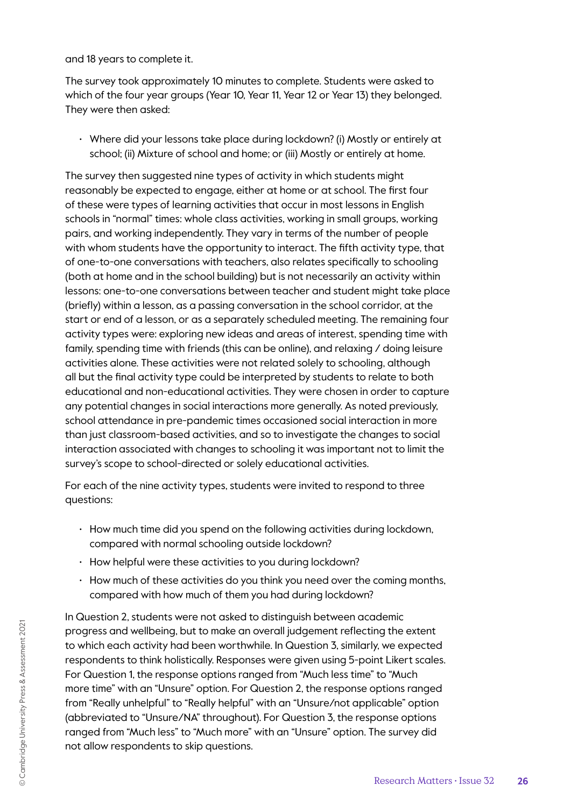and 18 years to complete it.

The survey took approximately 10 minutes to complete. Students were asked to which of the four year groups (Year 10, Year 11, Year 12 or Year 13) they belonged. They were then asked:

• Where did your lessons take place during lockdown? (i) Mostly or entirely at school; (ii) Mixture of school and home; or (iii) Mostly or entirely at home.

The survey then suggested nine types of activity in which students might reasonably be expected to engage, either at home or at school. The first four of these were types of learning activities that occur in most lessons in English schools in "normal" times: whole class activities, working in small groups, working pairs, and working independently. They vary in terms of the number of people with whom students have the opportunity to interact. The fifth activity type, that of one-to-one conversations with teachers, also relates specifically to schooling (both at home and in the school building) but is not necessarily an activity within lessons: one-to-one conversations between teacher and student might take place (briefly) within a lesson, as a passing conversation in the school corridor, at the start or end of a lesson, or as a separately scheduled meeting. The remaining four activity types were: exploring new ideas and areas of interest, spending time with family, spending time with friends (this can be online), and relaxing / doing leisure activities alone. These activities were not related solely to schooling, although all but the final activity type could be interpreted by students to relate to both educational and non-educational activities. They were chosen in order to capture any potential changes in social interactions more generally. As noted previously, school attendance in pre-pandemic times occasioned social interaction in more than just classroom-based activities, and so to investigate the changes to social interaction associated with changes to schooling it was important not to limit the survey's scope to school-directed or solely educational activities.

For each of the nine activity types, students were invited to respond to three questions:

- How much time did you spend on the following activities during lockdown, compared with normal schooling outside lockdown?
- How helpful were these activities to you during lockdown?
- How much of these activities do you think you need over the coming months, compared with how much of them you had during lockdown?

In Question 2, students were not asked to distinguish between academic progress and wellbeing, but to make an overall judgement reflecting the extent to which each activity had been worthwhile. In Question 3, similarly, we expected respondents to think holistically. Responses were given using 5-point Likert scales. For Question 1, the response options ranged from "Much less time" to "Much more time" with an "Unsure" option. For Question 2, the response options ranged from "Really unhelpful" to "Really helpful" with an "Unsure/not applicable" option (abbreviated to "Unsure/NA" throughout). For Question 3, the response options ranged from "Much less" to "Much more" with an "Unsure" option. The survey did not allow respondents to skip questions.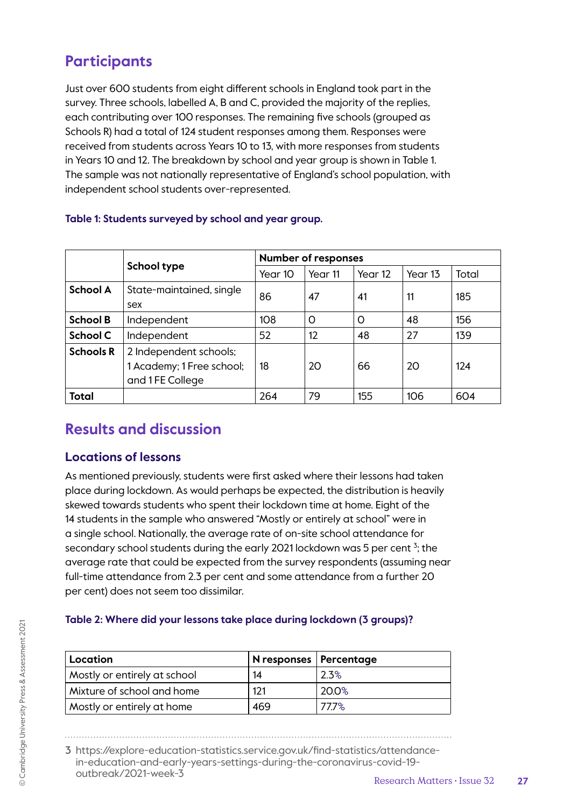# **Participants**

Just over 600 students from eight different schools in England took part in the survey. Three schools, labelled A, B and C, provided the majority of the replies, each contributing over 100 responses. The remaining five schools (grouped as Schools R) had a total of 124 student responses among them. Responses were received from students across Years 10 to 13, with more responses from students in Years 10 and 12. The breakdown by school and year group is shown in Table 1. The sample was not nationally representative of England's school population, with independent school students over-represented.

|                  | School type                                                             | <b>Number of responses</b> |         |          |         |       |
|------------------|-------------------------------------------------------------------------|----------------------------|---------|----------|---------|-------|
|                  |                                                                         | Year 10                    | Year 11 | Year 12  | Year 13 | Total |
| <b>School A</b>  | State-maintained, single<br>sex                                         | 86                         | 47      | 41       | 11      | 185   |
| <b>School B</b>  | Independent                                                             | 108                        | O       | $\Omega$ | 48      | 156   |
| <b>School C</b>  | Independent                                                             | 52                         | 12      | 48       | 27      | 139   |
| <b>Schools R</b> | 2 Independent schools;<br>1 Academy; 1 Free school;<br>and 1 FE College | 18                         | 20      | 66       | 20      | 124   |
| <b>Total</b>     |                                                                         | 264                        | 79      | 155      | 106     | 604   |

#### **Table 1: Students surveyed by school and year group.**

# **Results and discussion**

#### **Locations of lessons**

As mentioned previously, students were first asked where their lessons had taken place during lockdown. As would perhaps be expected, the distribution is heavily skewed towards students who spent their lockdown time at home. Eight of the 14 students in the sample who answered "Mostly or entirely at school" were in a single school. Nationally, the average rate of on-site school attendance for secondary school students during the early 2021 lockdown was 5 per cent  $^{\text{3}}$ ; the average rate that could be expected from the survey respondents (assuming near full-time attendance from 2.3 per cent and some attendance from a further 20 per cent) does not seem too dissimilar.

#### **Table 2: Where did your lessons take place during lockdown (3 groups)?**

| Location                     | N responses   Percentage |       |
|------------------------------|--------------------------|-------|
| Mostly or entirely at school | 14                       | 2.3%  |
| Mixture of school and home   | 121                      | 20.0% |
| Mostly or entirely at home   | 469                      | 777%  |

3 https://explore-education-statistics.service.gov.uk/find-statistics/attendancein-education-and-early-years-settings-during-the-coronavirus-covid-19 outbreak/2021-week-3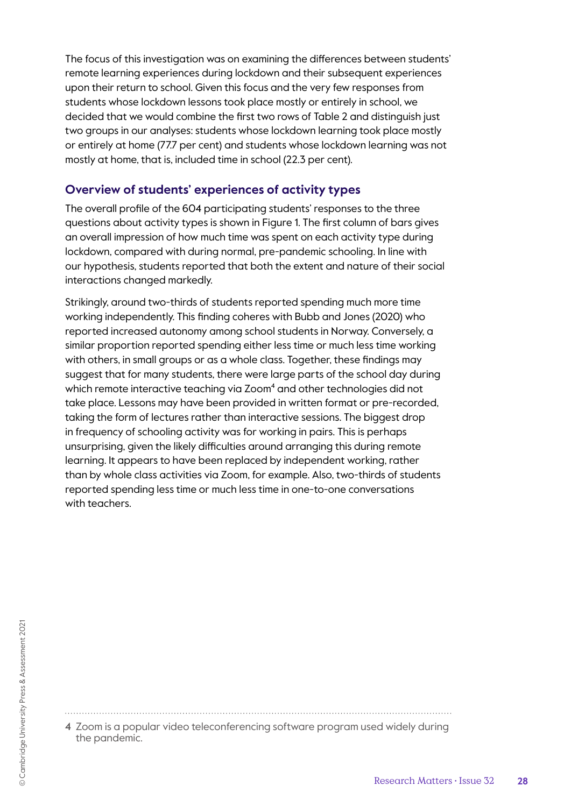The focus of this investigation was on examining the differences between students' remote learning experiences during lockdown and their subsequent experiences upon their return to school. Given this focus and the very few responses from students whose lockdown lessons took place mostly or entirely in school, we decided that we would combine the first two rows of Table 2 and distinguish just two groups in our analyses: students whose lockdown learning took place mostly or entirely at home (77.7 per cent) and students whose lockdown learning was not mostly at home, that is, included time in school (22.3 per cent).

#### **Overview of students' experiences of activity types**

The overall profile of the 604 participating students' responses to the three questions about activity types is shown in Figure 1. The first column of bars gives an overall impression of how much time was spent on each activity type during lockdown, compared with during normal, pre-pandemic schooling. In line with our hypothesis, students reported that both the extent and nature of their social interactions changed markedly.

Strikingly, around two-thirds of students reported spending much more time working independently. This finding coheres with Bubb and Jones (2020) who reported increased autonomy among school students in Norway. Conversely, a similar proportion reported spending either less time or much less time working with others, in small groups or as a whole class. Together, these findings may suggest that for many students, there were large parts of the school day during which remote interactive teaching via Zoom<sup>4</sup> and other technologies did not take place. Lessons may have been provided in written format or pre-recorded, taking the form of lectures rather than interactive sessions. The biggest drop in frequency of schooling activity was for working in pairs. This is perhaps unsurprising, given the likely difficulties around arranging this during remote learning. It appears to have been replaced by independent working, rather than by whole class activities via Zoom, for example. Also, two-thirds of students reported spending less time or much less time in one-to-one conversations with teachers.

4 Zoom is a popular video teleconferencing software program used widely during the pandemic.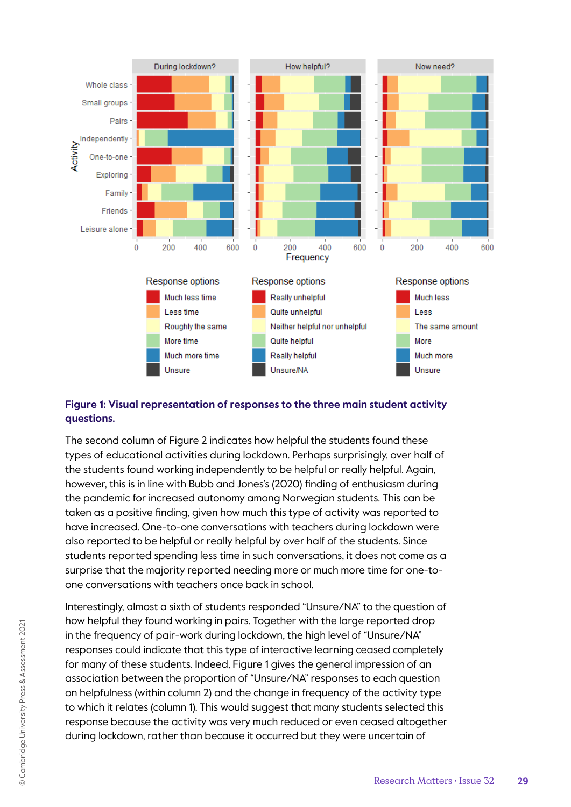

#### **Figure 1: Visual representation of responses to the three main student activity questions.**

The second column of Figure 2 indicates how helpful the students found these types of educational activities during lockdown. Perhaps surprisingly, over half of the students found working independently to be helpful or really helpful. Again, however, this is in line with Bubb and Jones's (2020) finding of enthusiasm during the pandemic for increased autonomy among Norwegian students. This can be taken as a positive finding, given how much this type of activity was reported to have increased. One-to-one conversations with teachers during lockdown were also reported to be helpful or really helpful by over half of the students. Since students reported spending less time in such conversations, it does not come as a surprise that the majority reported needing more or much more time for one-toone conversations with teachers once back in school.

Interestingly, almost a sixth of students responded "Unsure/NA" to the question of how helpful they found working in pairs. Together with the large reported drop in the frequency of pair-work during lockdown, the high level of "Unsure/NA" responses could indicate that this type of interactive learning ceased completely for many of these students. Indeed, Figure 1 gives the general impression of an association between the proportion of "Unsure/NA" responses to each question on helpfulness (within column 2) and the change in frequency of the activity type to which it relates (column 1). This would suggest that many students selected this response because the activity was very much reduced or even ceased altogether during lockdown, rather than because it occurred but they were uncertain of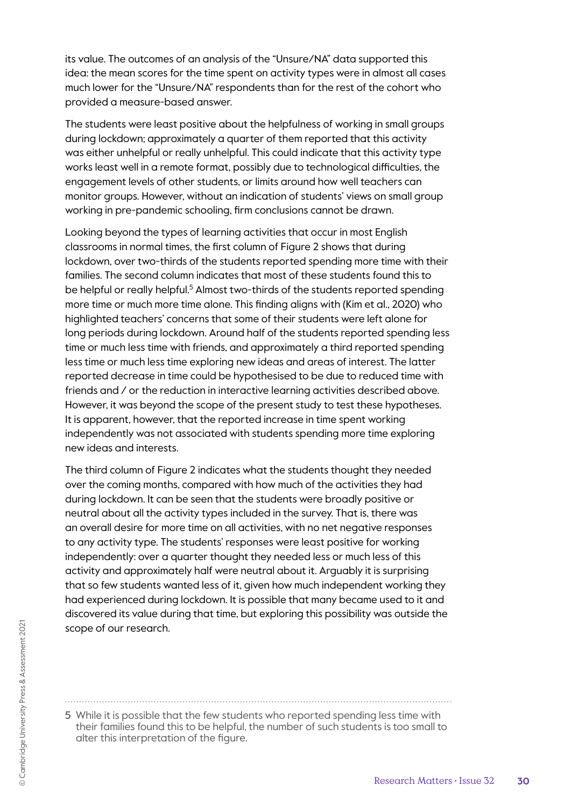its value. The outcomes of an analysis of the "Unsure/NA" data supported this idea: the mean scores for the time spent on activity types were in almost all cases much lower for the "Unsure/NA" respondents than for the rest of the cohort who provided a measure-based answer.

The students were least positive about the helpfulness of working in small groups during lockdown; approximately a quarter of them reported that this activity was either unhelpful or really unhelpful. This could indicate that this activity type works least well in a remote format, possibly due to technological difficulties, the engagement levels of other students, or limits around how well teachers can monitor groups. However, without an indication of students' views on small group working in pre-pandemic schooling, firm conclusions cannot be drawn.

Looking beyond the types of learning activities that occur in most English classrooms in normal times, the first column of Figure 2 shows that during lockdown, over two-thirds of the students reported spending more time with their families. The second column indicates that most of these students found this to be helpful or really helpful.<sup>5</sup> Almost two-thirds of the students reported spending more time or much more time alone. This finding aligns with (Kim et al., 2020) who highlighted teachers' concerns that some of their students were left alone for long periods during lockdown. Around half of the students reported spending less time or much less time with friends, and approximately a third reported spending less time or much less time exploring new ideas and areas of interest. The latter reported decrease in time could be hypothesised to be due to reduced time with friends and / or the reduction in interactive learning activities described above. However, it was beyond the scope of the present study to test these hypotheses. It is apparent, however, that the reported increase in time spent working independently was not associated with students spending more time exploring new ideas and interests.

The third column of Figure 2 indicates what the students thought they needed over the coming months, compared with how much of the activities they had during lockdown. It can be seen that the students were broadly positive or neutral about all the activity types included in the survey. That is, there was an overall desire for more time on all activities, with no net negative responses to any activity type. The students' responses were least positive for working independently: over a quarter thought they needed less or much less of this activity and approximately half were neutral about it. Arguably it is surprising that so few students wanted less of it, given how much independent working they had experienced during lockdown. It is possible that many became used to it and discovered its value during that time, but exploring this possibility was outside the scope of our research.

5 While it is possible that the few students who reported spending less time with their families found this to be helpful, the number of such students is too small to alter this interpretation of the figure.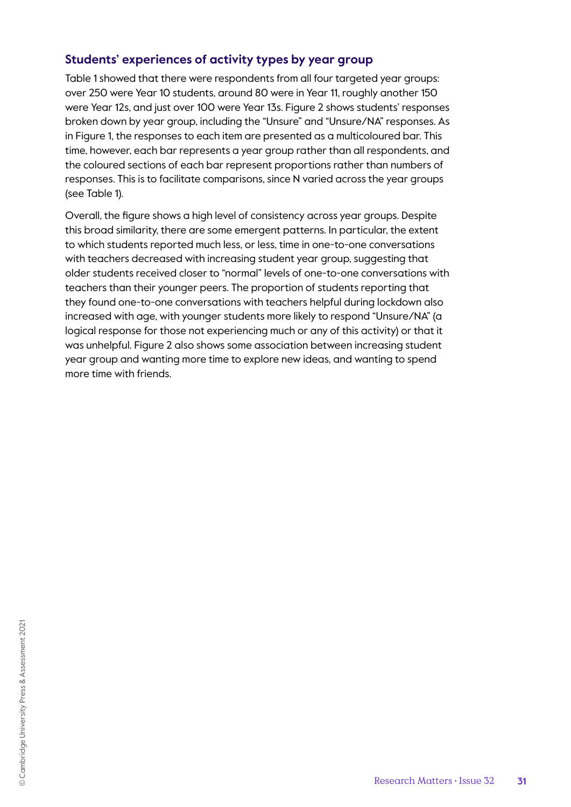#### **Students' experiences of activity types by year group**

Table 1 showed that there were respondents from all four targeted year groups: over 250 were Year 10 students, around 80 were in Year 11, roughly another 150 were Year 12s, and just over 100 were Year 13s. Figure 2 shows students' responses broken down by year group, including the "Unsure" and "Unsure/NA" responses. As in Figure 1, the responses to each item are presented as a multicoloured bar. This time, however, each bar represents a year group rather than all respondents, and the coloured sections of each bar represent proportions rather than numbers of responses. This is to facilitate comparisons, since N varied across the year groups (see Table 1).

Overall, the figure shows a high level of consistency across year groups. Despite this broad similarity, there are some emergent patterns. In particular, the extent to which students reported much less, or less, time in one-to-one conversations with teachers decreased with increasing student year group, suggesting that older students received closer to "normal" levels of one-to-one conversations with teachers than their younger peers. The proportion of students reporting that they found one-to-one conversations with teachers helpful during lockdown also increased with age, with younger students more likely to respond "Unsure/NA" (a logical response for those not experiencing much or any of this activity) or that it was unhelpful. Figure 2 also shows some association between increasing student year group and wanting more time to explore new ideas, and wanting to spend more time with friends.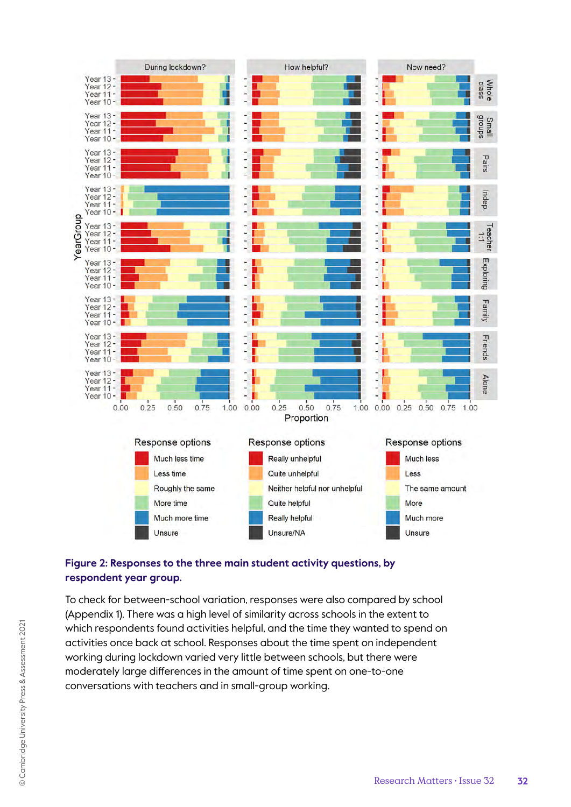

#### **Figure 2: Responses to the three main student activity questions, by respondent year group.**

To check for between-school variation, responses were also compared by school (Appendix 1). There was a high level of similarity across schools in the extent to which respondents found activities helpful, and the time they wanted to spend on activities once back at school. Responses about the time spent on independent working during lockdown varied very little between schools, but there were moderately large differences in the amount of time spent on one-to-one conversations with teachers and in small-group working.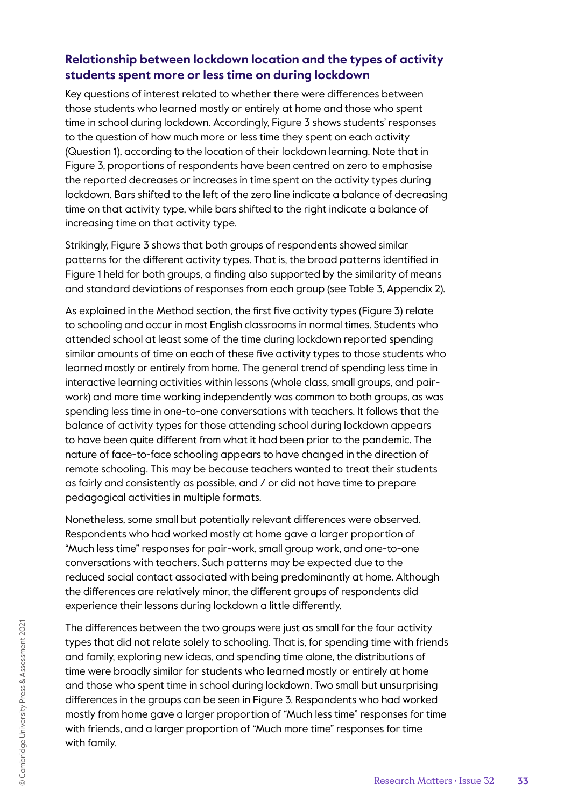#### **Relationship between lockdown location and the types of activity students spent more or less time on during lockdown**

Key questions of interest related to whether there were differences between those students who learned mostly or entirely at home and those who spent time in school during lockdown. Accordingly, Figure 3 shows students' responses to the question of how much more or less time they spent on each activity (Question 1), according to the location of their lockdown learning. Note that in Figure 3, proportions of respondents have been centred on zero to emphasise the reported decreases or increases in time spent on the activity types during lockdown. Bars shifted to the left of the zero line indicate a balance of decreasing time on that activity type, while bars shifted to the right indicate a balance of increasing time on that activity type.

Strikingly, Figure 3 shows that both groups of respondents showed similar patterns for the different activity types. That is, the broad patterns identified in Figure 1 held for both groups, a finding also supported by the similarity of means and standard deviations of responses from each group (see Table 3, Appendix 2).

As explained in the Method section, the first five activity types (Figure 3) relate to schooling and occur in most English classrooms in normal times. Students who attended school at least some of the time during lockdown reported spending similar amounts of time on each of these five activity types to those students who learned mostly or entirely from home. The general trend of spending less time in interactive learning activities within lessons (whole class, small groups, and pairwork) and more time working independently was common to both groups, as was spending less time in one-to-one conversations with teachers. It follows that the balance of activity types for those attending school during lockdown appears to have been quite different from what it had been prior to the pandemic. The nature of face-to-face schooling appears to have changed in the direction of remote schooling. This may be because teachers wanted to treat their students as fairly and consistently as possible, and / or did not have time to prepare pedagogical activities in multiple formats.

Nonetheless, some small but potentially relevant differences were observed. Respondents who had worked mostly at home gave a larger proportion of "Much less time" responses for pair-work, small group work, and one-to-one conversations with teachers. Such patterns may be expected due to the reduced social contact associated with being predominantly at home. Although the differences are relatively minor, the different groups of respondents did experience their lessons during lockdown a little differently.

The differences between the two groups were just as small for the four activity types that did not relate solely to schooling. That is, for spending time with friends and family, exploring new ideas, and spending time alone, the distributions of time were broadly similar for students who learned mostly or entirely at home and those who spent time in school during lockdown. Two small but unsurprising differences in the groups can be seen in Figure 3. Respondents who had worked mostly from home gave a larger proportion of "Much less time" responses for time with friends, and a larger proportion of "Much more time" responses for time with family.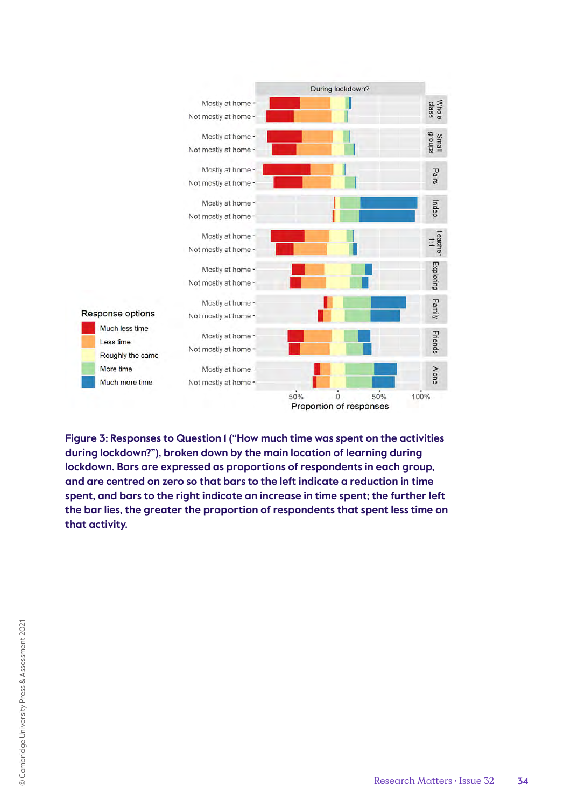

**Figure 3: Responses to Question 1 ("How much time was spent on the activities during lockdown?"), broken down by the main location of learning during lockdown. Bars are expressed as proportions of respondents in each group, and are centred on zero so that bars to the left indicate a reduction in time spent, and bars to the right indicate an increase in time spent; the further left the bar lies, the greater the proportion of respondents that spent less time on that activity.**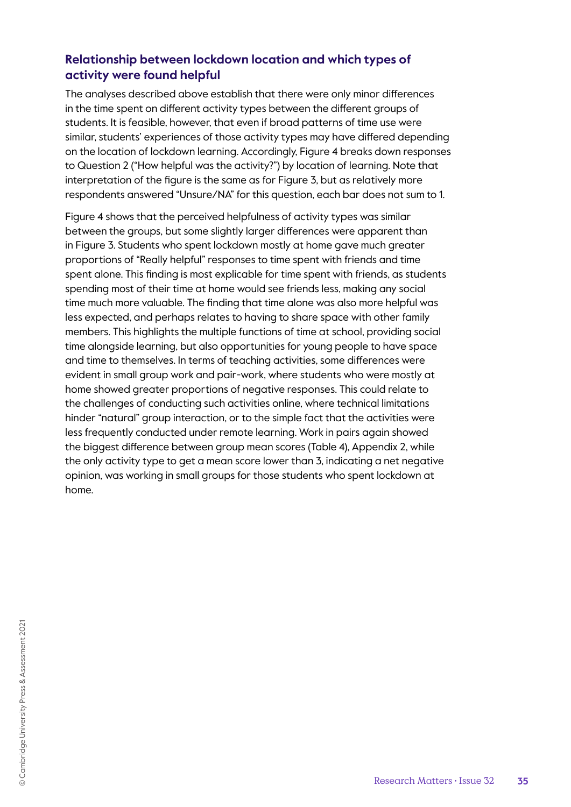#### **Relationship between lockdown location and which types of activity were found helpful**

The analyses described above establish that there were only minor differences in the time spent on different activity types between the different groups of students. It is feasible, however, that even if broad patterns of time use were similar, students' experiences of those activity types may have differed depending on the location of lockdown learning. Accordingly, Figure 4 breaks down responses to Question 2 ("How helpful was the activity?") by location of learning. Note that interpretation of the figure is the same as for Figure 3, but as relatively more respondents answered "Unsure/NA" for this question, each bar does not sum to 1.

Figure 4 shows that the perceived helpfulness of activity types was similar between the groups, but some slightly larger differences were apparent than in Figure 3. Students who spent lockdown mostly at home gave much greater proportions of "Really helpful" responses to time spent with friends and time spent alone. This finding is most explicable for time spent with friends, as students spending most of their time at home would see friends less, making any social time much more valuable. The finding that time alone was also more helpful was less expected, and perhaps relates to having to share space with other family members. This highlights the multiple functions of time at school, providing social time alongside learning, but also opportunities for young people to have space and time to themselves. In terms of teaching activities, some differences were evident in small group work and pair-work, where students who were mostly at home showed greater proportions of negative responses. This could relate to the challenges of conducting such activities online, where technical limitations hinder "natural" group interaction, or to the simple fact that the activities were less frequently conducted under remote learning. Work in pairs again showed the biggest difference between group mean scores (Table 4), Appendix 2, while the only activity type to get a mean score lower than 3, indicating a net negative opinion, was working in small groups for those students who spent lockdown at home.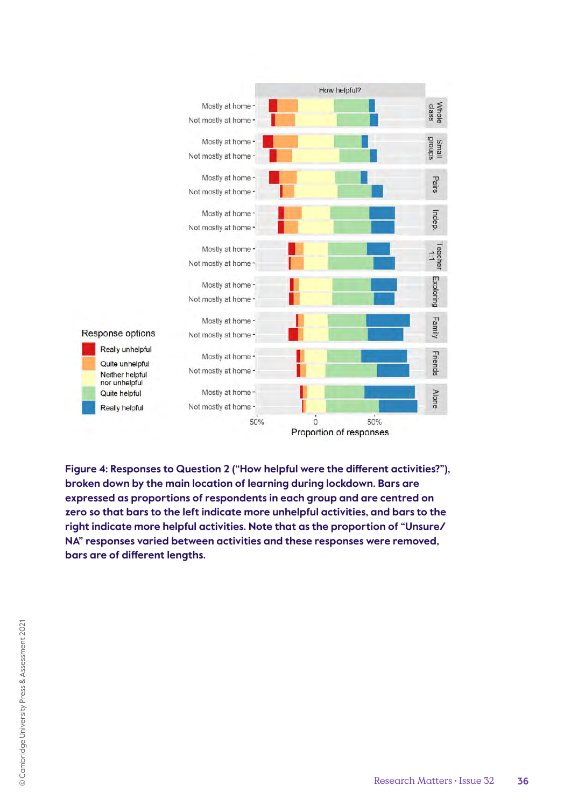

**Figure 4: Responses to Question 2 ("How helpful were the different activities?"), broken down by the main location of learning during lockdown. Bars are expressed as proportions of respondents in each group and are centred on zero so that bars to the left indicate more unhelpful activities, and bars to the right indicate more helpful activities. Note that as the proportion of "Unsure/ NA" responses varied between activities and these responses were removed, bars are of different lengths.**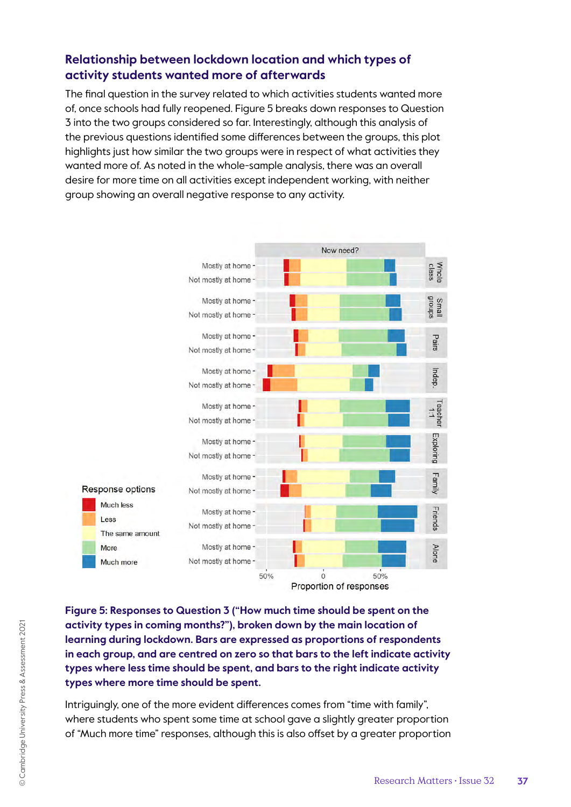#### **Relationship between lockdown location and which types of activity students wanted more of afterwards**

The final question in the survey related to which activities students wanted more of, once schools had fully reopened. Figure 5 breaks down responses to Question 3 into the two groups considered so far. Interestingly, although this analysis of the previous questions identified some differences between the groups, this plot highlights just how similar the two groups were in respect of what activities they wanted more of. As noted in the whole-sample analysis, there was an overall desire for more time on all activities except independent working, with neither group showing an overall negative response to any activity.



**Figure 5: Responses to Question 3 ("How much time should be spent on the activity types in coming months?"), broken down by the main location of learning during lockdown. Bars are expressed as proportions of respondents in each group, and are centred on zero so that bars to the left indicate activity types where less time should be spent, and bars to the right indicate activity types where more time should be spent.**

Intriguingly, one of the more evident differences comes from "time with family", where students who spent some time at school gave a slightly greater proportion of "Much more time" responses, although this is also offset by a greater proportion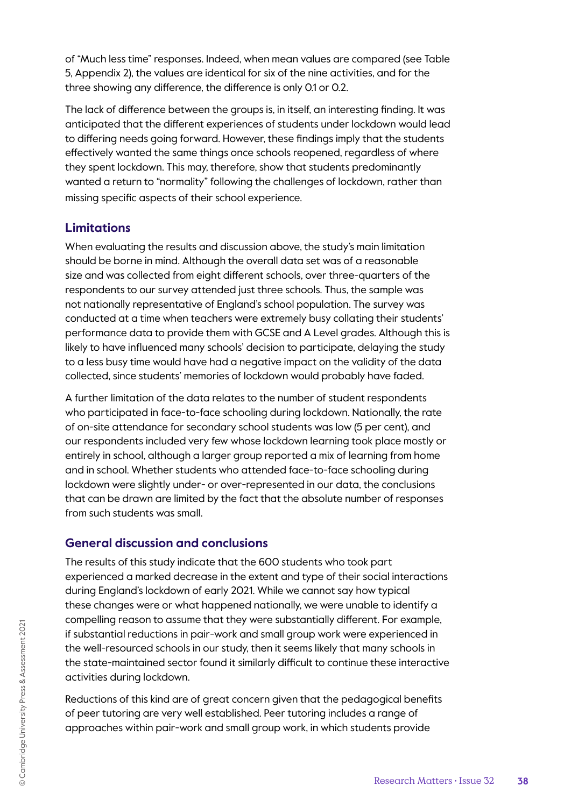of "Much less time" responses. Indeed, when mean values are compared (see Table 5, Appendix 2), the values are identical for six of the nine activities, and for the three showing any difference, the difference is only 0.1 or 0.2.

The lack of difference between the groups is, in itself, an interesting finding. It was anticipated that the different experiences of students under lockdown would lead to differing needs going forward. However, these findings imply that the students effectively wanted the same things once schools reopened, regardless of where they spent lockdown. This may, therefore, show that students predominantly wanted a return to "normality" following the challenges of lockdown, rather than missing specific aspects of their school experience.

#### **Limitations**

When evaluating the results and discussion above, the study's main limitation should be borne in mind. Although the overall data set was of a reasonable size and was collected from eight different schools, over three-quarters of the respondents to our survey attended just three schools. Thus, the sample was not nationally representative of England's school population. The survey was conducted at a time when teachers were extremely busy collating their students' performance data to provide them with GCSE and A Level grades. Although this is likely to have influenced many schools' decision to participate, delaying the study to a less busy time would have had a negative impact on the validity of the data collected, since students' memories of lockdown would probably have faded.

A further limitation of the data relates to the number of student respondents who participated in face-to-face schooling during lockdown. Nationally, the rate of on-site attendance for secondary school students was low (5 per cent), and our respondents included very few whose lockdown learning took place mostly or entirely in school, although a larger group reported a mix of learning from home and in school. Whether students who attended face-to-face schooling during lockdown were slightly under- or over-represented in our data, the conclusions that can be drawn are limited by the fact that the absolute number of responses from such students was small.

#### **General discussion and conclusions**

The results of this study indicate that the 600 students who took part experienced a marked decrease in the extent and type of their social interactions during England's lockdown of early 2021. While we cannot say how typical these changes were or what happened nationally, we were unable to identify a compelling reason to assume that they were substantially different. For example, if substantial reductions in pair-work and small group work were experienced in the well-resourced schools in our study, then it seems likely that many schools in the state-maintained sector found it similarly difficult to continue these interactive activities during lockdown.

Reductions of this kind are of great concern given that the pedagogical benefits of peer tutoring are very well established. Peer tutoring includes a range of approaches within pair-work and small group work, in which students provide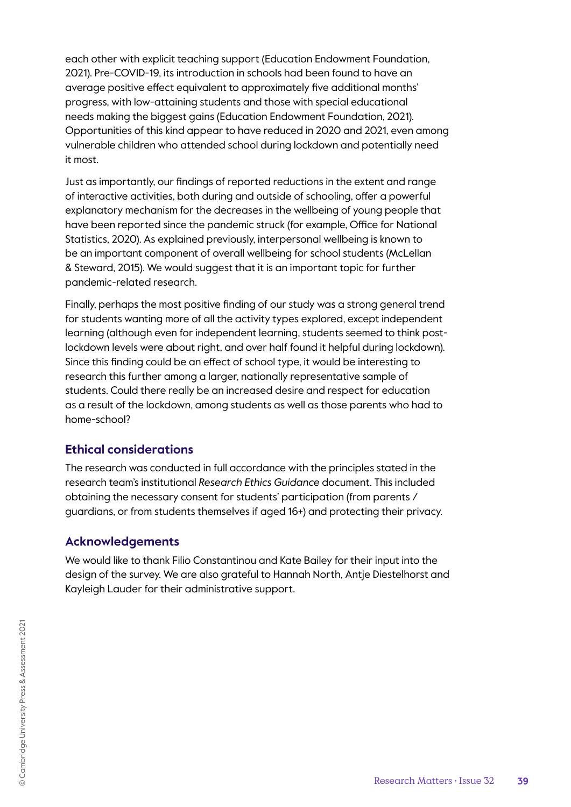each other with explicit teaching support (Education Endowment Foundation, 2021). Pre-COVID-19, its introduction in schools had been found to have an average positive effect equivalent to approximately five additional months' progress, with low-attaining students and those with special educational needs making the biggest gains (Education Endowment Foundation, 2021). Opportunities of this kind appear to have reduced in 2020 and 2021, even among vulnerable children who attended school during lockdown and potentially need it most.

Just as importantly, our findings of reported reductions in the extent and range of interactive activities, both during and outside of schooling, offer a powerful explanatory mechanism for the decreases in the wellbeing of young people that have been reported since the pandemic struck (for example, Office for National Statistics, 2020). As explained previously, interpersonal wellbeing is known to be an important component of overall wellbeing for school students (McLellan & Steward, 2015). We would suggest that it is an important topic for further pandemic-related research.

Finally, perhaps the most positive finding of our study was a strong general trend for students wanting more of all the activity types explored, except independent learning (although even for independent learning, students seemed to think postlockdown levels were about right, and over half found it helpful during lockdown). Since this finding could be an effect of school type, it would be interesting to research this further among a larger, nationally representative sample of students. Could there really be an increased desire and respect for education as a result of the lockdown, among students as well as those parents who had to home-school?

#### **Ethical considerations**

The research was conducted in full accordance with the principles stated in the research team's institutional *Research Ethics Guidance* document. This included obtaining the necessary consent for students' participation (from parents / guardians, or from students themselves if aged 16+) and protecting their privacy.

#### **Acknowledgements**

We would like to thank Filio Constantinou and Kate Bailey for their input into the design of the survey. We are also grateful to Hannah North, Antje Diestelhorst and Kayleigh Lauder for their administrative support.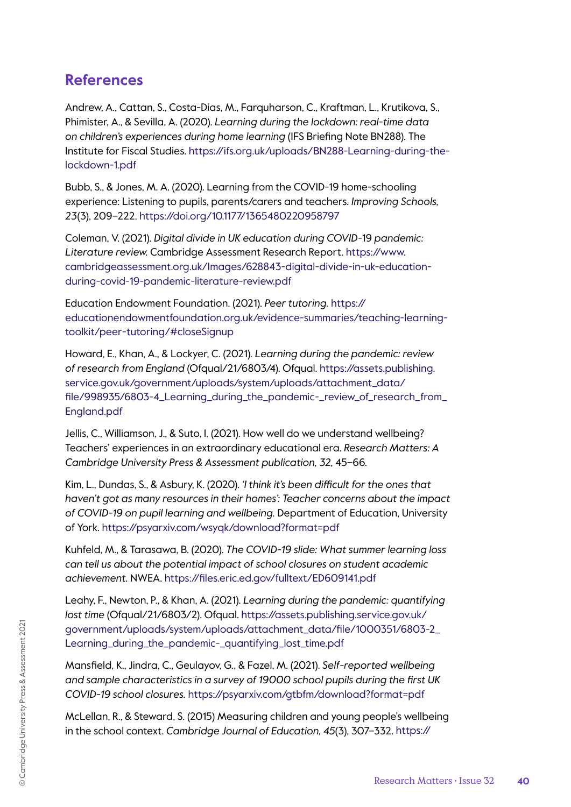## **References**

Andrew, A., Cattan, S., Costa-Dias, M., Farquharson, C., Kraftman, L., Krutikova, S., Phimister, A., & Sevilla, A. (2020). *Learning during the lockdown: real-time data on children's experiences during home learning* (IFS Briefing Note BN288). The Institute for Fiscal Studies. https://ifs.org.uk/uploads/BN288-Learning-during-thelockdown-1.pdf

Bubb, S., & Jones, M. A. (2020). Learning from the COVID-19 home-schooling experience: Listening to pupils, parents/carers and teachers. *Improving Schools, 23*(3), 209–222. https://doi.org/10.1177/1365480220958797

Coleman, V. (2021). *Digital divide in UK education during COVID-*19 *pandemic: Literature review.* Cambridge Assessment Research Report. https://www. cambridgeassessment.org.uk/Images/628843-digital-divide-in-uk-educationduring-covid-19-pandemic-literature-review.pdf

Education Endowment Foundation. (2021). *Peer tutoring.* https:// educationendowmentfoundation.org.uk/evidence-summaries/teaching-learningtoolkit/peer-tutoring/#closeSignup

Howard, E., Khan, A., & Lockyer, C. (2021). *Learning during the pandemic: review of research from England* (Ofqual/21/6803/4). Ofqual. https://assets.publishing. service.gov.uk/government/uploads/system/uploads/attachment\_data/ file/998935/6803-4\_Learning\_during\_the\_pandemic-\_review\_of\_research\_from\_ England.pdf

Jellis, C., Williamson, J., & Suto, I. (2021). How well do we understand wellbeing? Teachers' experiences in an extraordinary educational era. *Research Matters: A Cambridge University Press & Assessment publication, 32,* 45–66.

Kim, L., Dundas, S., & Asbury, K. (2020). *'I think it's been difficult for the ones that haven't got as many resources in their homes': Teacher concerns about the impact of COVID-19 on pupil learning and wellbeing.* Department of Education, University of York. https://psyarxiv.com/wsyqk/download?format=pdf

Kuhfeld, M., & Tarasawa, B. (2020). *The COVID-19 slide: What summer learning loss can tell us about the potential impact of school closures on student academic achievement.* NWEA. https://files.eric.ed.gov/fulltext/ED609141.pdf

Leahy, F., Newton, P., & Khan, A. (2021). *Learning during the pandemic: quantifying lost time* (Ofqual/21/6803/2). Ofqual. https://assets.publishing.service.gov.uk/ government/uploads/system/uploads/attachment\_data/file/1000351/6803-2\_ Learning\_during\_the\_pandemic-\_quantifying\_lost\_time.pdf

Mansfield, K., Jindra, C., Geulayov, G., & Fazel, M. (2021). *Self-reported wellbeing and sample characteristics in a survey of 19000 school pupils during the first UK COVID-19 school closures.* https://psyarxiv.com/gtbfm/download?format=pdf

McLellan, R., & Steward, S. (2015) Measuring children and young people's wellbeing in the school context. *Cambridge Journal of Education, 45*(3), 307–332. https://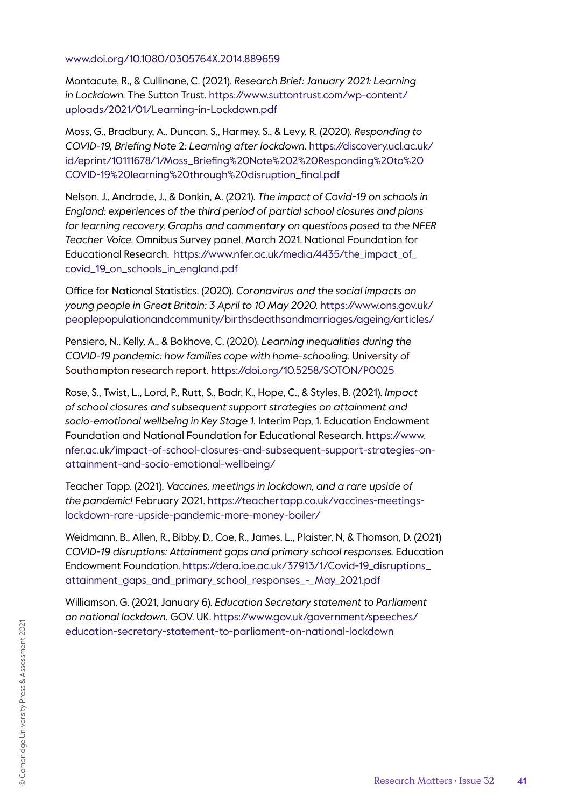www.doi.org/10.1080/0305764X.2014.889659

Montacute, R., & Cullinane, C. (2021). *Research Brief: January 2021: Learning in Lockdown.* The Sutton Trust. https://www.suttontrust.com/wp-content/ uploads/2021/01/Learning-in-Lockdown.pdf

Moss, G., Bradbury, A., Duncan, S., Harmey, S., & Levy, R. (2020). *Responding to COVID-19, Briefing Note* 2*: Learning after lockdown.* https://discovery.ucl.ac.uk/ id/eprint/10111678/1/Moss\_Briefing%20Note%202%20Responding%20to%20 COVID-19%20learning%20through%20disruption\_final.pdf

Nelson, J., Andrade, J., & Donkin, A. (2021). *The impact of Covid-19 on schools in England: experiences of the third period of partial school closures and plans for learning recovery. Graphs and commentary on questions posed to the NFER Teacher Voice.* Omnibus Survey panel, March 2021. National Foundation for Educational Research. https://www.nfer.ac.uk/media/4435/the\_impact\_of\_ covid\_19\_on\_schools\_in\_england.pdf

Office for National Statistics. (2020). *Coronavirus and the social impacts on young people in Great Britain: 3 April to 10 May 2020.* https://www.ons.gov.uk/ peoplepopulationandcommunity/birthsdeathsandmarriages/ageing/articles/

Pensiero, N., Kelly, A., & Bokhove, C. (2020). *Learning inequalities during the COVID-19 pandemic: how families cope with home-schooling.* University of Southampton research report. https://doi.org/10.5258/SOTON/P0025

Rose, S., Twist, L., Lord, P., Rutt, S., Badr, K., Hope, C., & Styles, B. (2021). *Impact of school closures and subsequent support strategies on attainment and socio-emotional wellbeing in Key Stage 1.* Interim Pap, 1. Education Endowment Foundation and National Foundation for Educational Research. https://www. nfer.ac.uk/impact-of-school-closures-and-subsequent-support-strategies-onattainment-and-socio-emotional-wellbeing/

Teacher Tapp. (2021). *Vaccines, meetings in lockdown, and a rare upside of the pandemic!* February 2021. https://teachertapp.co.uk/vaccines-meetingslockdown-rare-upside-pandemic-more-money-boiler/

Weidmann, B., Allen, R., Bibby, D., Coe, R., James, L., Plaister, N, & Thomson, D. (2021) *COVID-19 disruptions: Attainment gaps and primary school responses.* Education Endowment Foundation. https://dera.ioe.ac.uk/37913/1/Covid-19\_disruptions\_ attainment\_gaps\_and\_primary\_school\_responses\_-\_May\_2021.pdf

Williamson, G. (2021, January 6). *Education Secretary statement to Parliament on national lockdown.* GOV. UK. https://www.gov.uk/government/speeches/ education-secretary-statement-to-parliament-on-national-lockdown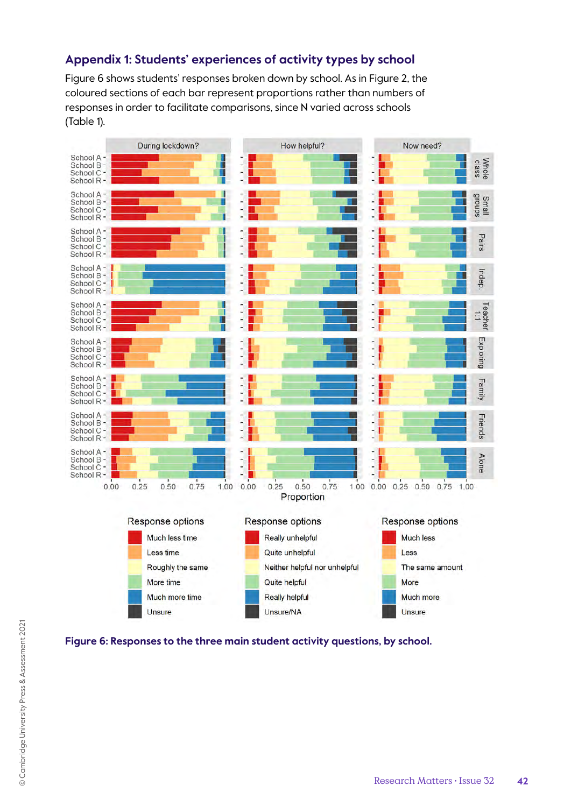#### **Appendix 1: Students' experiences of activity types by school**

Figure 6 shows students' responses broken down by school. As in Figure 2, the coloured sections of each bar represent proportions rather than numbers of responses in order to facilitate comparisons, since N varied across schools (Table 1).



**Figure 6: Responses to the three main student activity questions, by school.**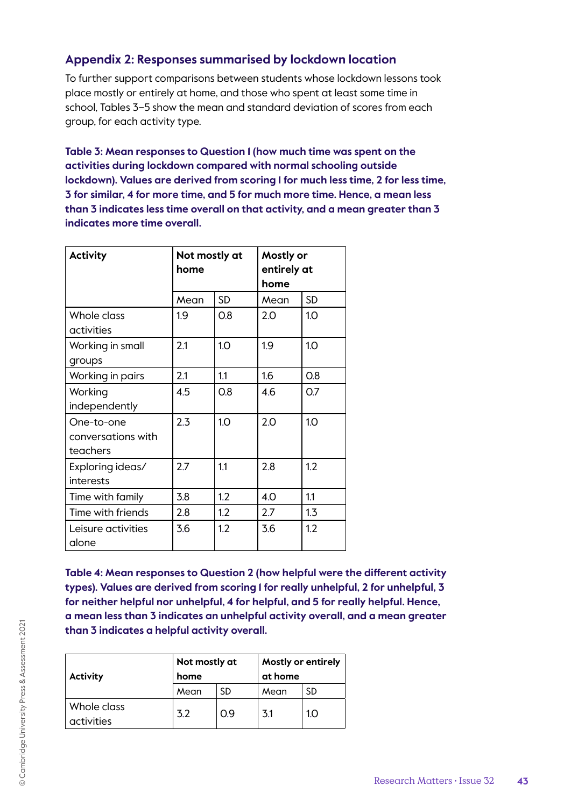#### **Appendix 2: Responses summarised by lockdown location**

To further support comparisons between students whose lockdown lessons took place mostly or entirely at home, and those who spent at least some time in school, Tables 3–5 show the mean and standard deviation of scores from each group, for each activity type.

**Table 3: Mean responses to Question 1 (how much time was spent on the activities during lockdown compared with normal schooling outside lockdown). Values are derived from scoring 1 for much less time, 2 for less time, 3 for similar, 4 for more time, and 5 for much more time. Hence, a mean less than 3 indicates less time overall on that activity, and a mean greater than 3 indicates more time overall.**

| <b>Activity</b>    | Not mostly at<br>home |           | Mostly or<br>entirely at<br>home |           |  |
|--------------------|-----------------------|-----------|----------------------------------|-----------|--|
|                    | Mean                  | <b>SD</b> | Mean                             | <b>SD</b> |  |
| Whole class        | 1.9                   | O.8       | 2.0                              | 1.0       |  |
| activities         |                       |           |                                  |           |  |
| Working in small   | 2.1                   | 1.0       | 1.9                              | 1.0       |  |
| groups             |                       |           |                                  |           |  |
| Working in pairs   | 2.1                   | 1.1       | 1.6                              | O.8       |  |
| Working            | 4.5                   | O.8       | 4.6                              | O.7       |  |
| independently      |                       |           |                                  |           |  |
| One-to-one         | 2.3                   | 1.0       | 2.0                              | 1.0       |  |
| conversations with |                       |           |                                  |           |  |
| teachers           |                       |           |                                  |           |  |
| Exploring ideas/   | 2.7                   | 1.1       | 2.8                              | 1.2       |  |
| interests          |                       |           |                                  |           |  |
| Time with family   | 3.8                   | 1.2       | 4.O                              | 1.1       |  |
| Time with friends  | 2.8                   | 1.2       | 2.7                              | 1.3       |  |
| Leisure activities | 3.6                   | 1.2       | 3.6                              | 1.2       |  |
| alone              |                       |           |                                  |           |  |

**Table 4: Mean responses to Question 2 (how helpful were the different activity types). Values are derived from scoring 1 for really unhelpful, 2 for unhelpful, 3 for neither helpful nor unhelpful, 4 for helpful, and 5 for really helpful. Hence, a mean less than 3 indicates an unhelpful activity overall, and a mean greater than 3 indicates a helpful activity overall.**

|                           | Not mostly at |     | <b>Mostly or entirely</b> |                  |  |
|---------------------------|---------------|-----|---------------------------|------------------|--|
| <b>Activity</b>           | home          |     | at home                   |                  |  |
|                           | Mean          | -SD | Mean                      | SD               |  |
| Whole class<br>activities | 3.2           | 0.9 | 3.1                       | 1.0 <sub>2</sub> |  |